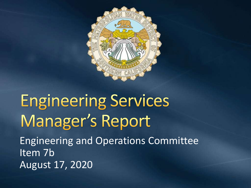

## **Engineering Services** Manager's Report Engineering and Operations Committee Item 7b August 17, 2020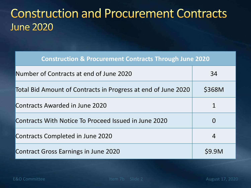### **Construction and Procurement Contracts June 2020**

**Construction & Procurement Contracts Through June 2020**

| Number of Contracts at end of June 2020                       | 34           |
|---------------------------------------------------------------|--------------|
| Total Bid Amount of Contracts in Progress at end of June 2020 | \$368M       |
| Contracts Awarded in June 2020                                |              |
| Contracts With Notice To Proceed Issued in June 2020          | O            |
| Contracts Completed in June 2020                              | 4            |
| <b>Contract Gross Earnings in June 2020</b>                   | <b>S9.9M</b> |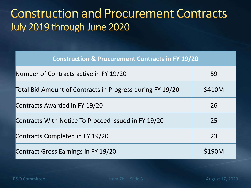### **Construction and Procurement Contracts** July 2019 through June 2020

| <b>Construction &amp; Procurement Contracts in FY 19/20</b> |              |
|-------------------------------------------------------------|--------------|
| Number of Contracts active in FY 19/20                      | 59           |
| Total Bid Amount of Contracts in Progress during FY 19/20   | \$410M       |
| Contracts Awarded in FY 19/20                               | 26           |
| Contracts With Notice To Proceed Issued in FY 19/20         | 25           |
| Contracts Completed in FY 19/20                             | 23           |
| Contract Gross Earnings in FY 19/20                         | <b>S190M</b> |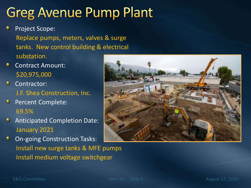### **Greg Avenue Pump Plant**

- Project Scope: Replace pumps, meters, valves & surge tanks. New control building & electrical substation.
- ۰ Contract Amount: \$20,975,000
- $\bullet$ Contractor: J.F. Shea Construction, Inc.
- Percent Complete:  $\bullet$ 69.5%
- Anticipated Completion Date: January 2021
- On-going Construction Tasks: ۰ Install new surge tanks & MFE pumps Install medium voltage switchgear

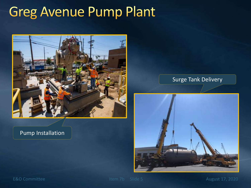### **Greg Avenue Pump Plant**



#### Pump Installation

#### Surge Tank Delivery



E&O Committee Internal Committee Internal Committee Internal Committee Internal Committee Internal Committee Internal Committee Internal Committee Internal Committee Internal Committee Internal Committee Internal Committee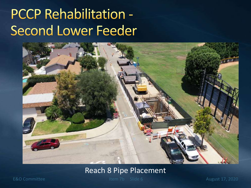## PCCP Rehabilitation -**Second Lower Feeder**



#### Reach 8 Pipe Placement

E&O Committee Item 7b Slide 6

6 August 17, 2020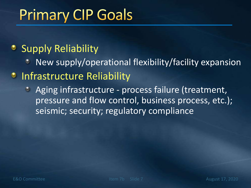# **Primary CIP Goals**

### • Supply Reliability

New supply/operational flexibility/facility expansion

#### **• Infrastructure Reliability**

Aging infrastructure - process failure (treatment,  $\bullet$ pressure and flow control, business process, etc.); seismic; security; regulatory compliance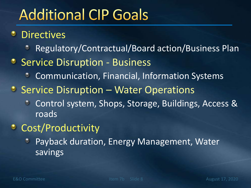# **Additional CIP Goals**

**<sup>•</sup>** Directives

- Regulatory/Contractual/Board action/Business Plan ٥
- Service Disruption Business
	- Communication, Financial, Information Systems  $\bullet$
- $\bullet$  Service Disruption Water Operations
	- Control system, Shops, Storage, Buildings, Access & roads
- **Cost/Productivity** 
	- Payback duration, Energy Management, Water ۰ savings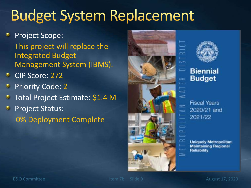# **Budget System Replacement**

- Project Scope: This project will replace the Integrated Budget Management System (IBMS).
- CIP Score: 272 ۰
- Priority Code: 2
- Total Project Estimate: \$1.4 M
- Project Status: 0% Deployment Complete





#### **Biennial Budget**

**Fiscal Years** 2020/21 and 2021/22

**Uniquely Metropolitan: Maintaining Regional Reliability**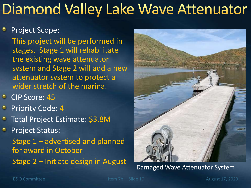# Diamond Valley Lake Wave Attenuator

#### Project Scope:

This project will be performed in stages. Stage 1 will rehabilitate the existing wave attenuator system and Stage 2 will add a new attenuator system to protect a wider stretch of the marina.

- **CIP Score: 45**
- Priority Code: 4
- Total Project Estimate: \$3.8M
- Project Status: Stage 1 – advertised and planned for award in October Stage 2 – Initiate design in August



Damaged Wave Attenuator System

E&O Committee Item 7b Slide 10 August 17, 2020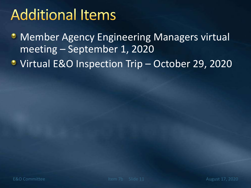# **Additional Items**

- **Member Agency Engineering Managers virtual** meeting – September 1, 2020
- Virtual E&O Inspection Trip October 29, 2020